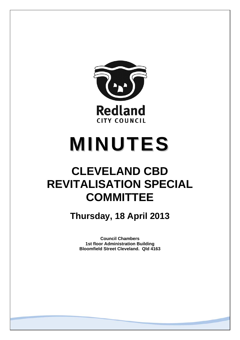

# **MINUTES**

# **CLEVELAND CBD REVITALISATION SPECIAL COMMITTEE**

**Thursday, 18 April 2013** 

**Council Chambers 1st floor Administration Building Bloomfield Street Cleveland. Qld 4163**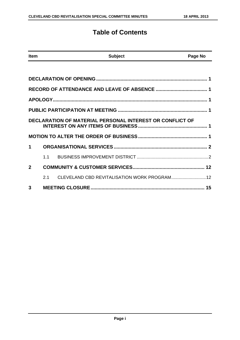### **Table of Contents**

| <b>Item</b>    |     | <b>Subject</b>                                                  | Page No |
|----------------|-----|-----------------------------------------------------------------|---------|
|                |     |                                                                 |         |
|                |     |                                                                 |         |
|                |     |                                                                 |         |
|                |     |                                                                 |         |
|                |     |                                                                 |         |
|                |     | <b>DECLARATION OF MATERIAL PERSONAL INTEREST OR CONFLICT OF</b> |         |
|                |     |                                                                 |         |
| 1              |     |                                                                 |         |
|                | 1.1 |                                                                 |         |
| $\overline{2}$ |     |                                                                 |         |
|                | 2.1 | CLEVELAND CBD REVITALISATION WORK PROGRAM 12                    |         |
| 3              |     |                                                                 |         |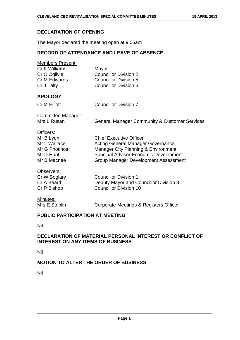#### **DECLARATION OF OPENING**

The Mayor declared the meeting open at 9.06am

#### **RECORD OF ATTENDANCE AND LEAVE OF ABSENCE**

| Members Present:<br>Cr K Williams<br>Cr C Ogilvie<br>Cr M Edwards<br>Cr J Talty     | Mayor<br><b>Councillor Division 2</b><br><b>Councillor Division 5</b><br><b>Councillor Division 6</b>                                                                                                             |
|-------------------------------------------------------------------------------------|-------------------------------------------------------------------------------------------------------------------------------------------------------------------------------------------------------------------|
| <b>APOLOGY</b>                                                                      |                                                                                                                                                                                                                   |
| <b>Cr M Elliott</b>                                                                 | <b>Councillor Division 7</b>                                                                                                                                                                                      |
| <b>Committee Manager:</b><br>Mrs L Rusan                                            | <b>General Manager Community &amp; Customer Services</b>                                                                                                                                                          |
| Officers:<br>Mr B Lyon<br>Mr L Wallace<br>Mr G Photinos<br>Mr D Hunt<br>Mr B Macnee | <b>Chief Executive Officer</b><br><b>Acting General Manager Governance</b><br>Manager City Planning & Environment<br><b>Principal Advisor Economic Development</b><br><b>Group Manager Development Assessment</b> |
| Observers:<br>Cr W Boglary<br>Cr A Beard<br>Cr P Bishop                             | <b>Councillor Division 1</b><br>Deputy Mayor and Councillor Division 8<br><b>Councillor Division 10</b>                                                                                                           |

## Minutes:

Mrs E Striplin Corporate Meetings & Registers Officer

#### **PUBLIC PARTICIPATION AT MEETING**

Nil

#### **DECLARATION OF MATERIAL PERSONAL INTEREST OR CONFLICT OF INTEREST ON ANY ITEMS OF BUSINESS**

Nil

#### **MOTION TO ALTER THE ORDER OF BUSINESS**

Nil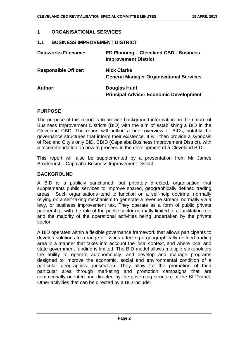#### **1 ORGANISATIONAL SERVICES**

#### **1.1 BUSINESS IMPROVEMENT DISTRICT**

| <b>Dataworks Filename:</b>  | ED Planning - Cleveland CBD - Business<br><b>Improvement District</b> |
|-----------------------------|-----------------------------------------------------------------------|
| <b>Responsible Officer:</b> | <b>Nick Clarke</b><br><b>General Manager Organisational Services</b>  |
| Author:                     | <b>Douglas Hunt</b><br><b>Principal Adviser Economic Development</b>  |

#### **PURPOSE**

The purpose of this report is to provide background information on the nature of Business Improvement Districts (BID) with the aim of establishing a BID in the Cleveland CBD. The report will outline a brief overview of BIDs, notably the governance structures that inform their existence. It will then provide a synopsis of Redland City's only BID, CBID (Capalaba Business Improvement District), with a recommendation on how to proceed in the development of a Cleveland BID.

This report will also be supplemented by a presentation from Mr James Brockhurst – Capalaba Business Improvement District.

#### **BACKGROUND**

A BID is a publicly sanctioned, but privately directed, organisation that supplements public services to improve shared, geographically defined trading areas. Such organisations tend to function on a self-help doctrine, normally relying on a self-taxing mechanism to generate a revenue stream, normally via a levy, or business improvement tax. They operate as a form of public private partnership, with the role of the public sector normally limited to a facilitation role and the majority of the operational activities being undertaken by the private sector.

A BID operates within a flexible governance framework that allows participants to develop solutions to a range of issues affecting a geographically defined trading area in a manner that takes into account the local context, and where local and state government funding is limited. The BID model allows multiple stakeholders the ability to operate autonomously, and develop and manage programs designed to improve the economic, social and environmental condition of a particular geographical jurisdiction. They allow for the promotion of their particular area through marketing and promotion campaigns that are commercially oriented and directed by the governing structure of the BI District. Other activities that can be directed by a BID include: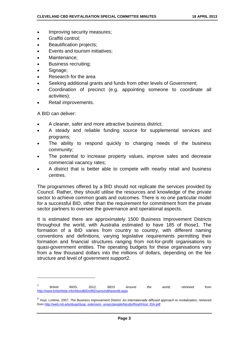- Improving security measures;
- Graffiti control;
- Beautification projects;
- Events and tourism initiatives;
- Maintenance;
- Business recruiting;
- Signage;
- Research for the area
- Seeking additional grants and funds from other levels of Government;
- Coordination of precinct (e.g. appointing someone to coordinate all activities);
- Retail improvements.

A BID can deliver:

- A cleaner, safer and more attractive business district;
- A steady and reliable funding source for supplemental services and programs;
- The ability to respond quickly to changing needs of the business community;
- The potential to increase property values, improve sales and decrease commercial vacancy rates;
- A district that is better able to compete with nearby retail and business centres.

The programmes offered by a BID should not replicate the services provided by Council. Rather, they should utilise the resources and knowledge of the private sector to achieve common goals and outcomes. There is no one particular model for a successful BID, other than the requirement for commitment from the private sector partners to oversee the governance and operational aspects.

It is estimated there are approximately 1500 Business Improvement Districts throughout the world, with Australia estimated to have 185 of those1. The formation of a BID varies from country to country, with different naming conventions and definitions, varying legislative requirements permitting their formation and financial structures ranging from not-for-profit organisations to quasi-government entities. The operating budgets for these organisations vary from a few thousand dollars into the millions of dollars, depending on the fee structure and level of government support2.

<sup>1</sup> British BIDS, 2012, *BIDS Around the world,* retrieved from http://www.britishbids.info/AboutBIDs/BIDsaroundtheworld.aspx

<sup>&</sup>lt;sup>2</sup> Hoyt, Lorlene, 2007, *The Business Improvement District: An internationally diffused approach to revitalization, retrieved* from http://web.mit.edu/dusp/dusp\_extension\_unsec/people/faculty/lhoyt/Hoyt\_IDA.pdf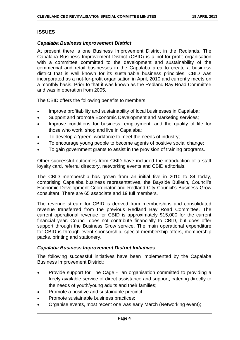#### **ISSUES**

#### *Capalaba Business Improvement District*

At present there is one Business Improvement District in the Redlands. The Capalaba Business Improvement District (CBID) is a not-for-profit organisation with a committee committed to the development and sustainability of the commercial and retail businesses in the Capalaba area to create a business district that is well known for its sustainable business principles. CBID was incorporated as a not-for-profit organisation in April, 2010 and currently meets on a monthly basis. Prior to that it was known as the Redland Bay Road Committee and was in operation from 2005.

The CBID offers the following benefits to members:

- Improve profitability and sustainability of local businesses in Capalaba;
- Support and promote Economic Development and Marketing services;
- Improve conditions for business, employment, and the quality of life for those who work, shop and live in Capalaba;
- To develop a 'green' workforce to meet the needs of industry;
- To encourage young people to become agents of positive social change;
- To gain government grants to assist in the provision of training programs.

Other successful outcomes from CBID have included the introduction of a staff loyalty card, referral directory, networking events and CBID editorials.

The CBID membership has grown from an initial five in 2010 to 84 today, comprising Capalaba business representatives, the Bayside Bulletin, Council's Economic Development Coordinator and Redland City Council's Business Grow consultant. There are 65 associate and 19 full members.

The revenue stream for CBID is derived from memberships and consolidated revenue transferred from the previous Redland Bay Road Committee. The current operational revenue for CBID is approximately \$15,000 for the current financial year. Council does not contribute financially to CBID, but does offer support through the Business Grow service. The main operational expenditure for CBID is through event sponsorship, special membership offers, membership packs, printing and stationery.

#### *Capalaba Business Improvement District Initiatives*

The following successful initiatives have been implemented by the Capalaba Business Improvement District:

- Provide support for The Cage an organisation committed to providing a freely available service of direct assistance and support, catering directly to the needs of youth/young adults and their families;
- Promote a positive and sustainable precinct;
- Promote sustainable business practices;
- Organise events, most recent one was early March (Networking event);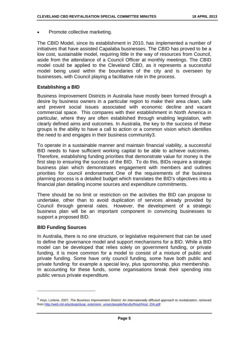Promote collective marketing.

The CBID Model, since its establishment in 2010, has implemented a number of initiatives that have assisted Capalaba businesses. The CBID has proved to be a low cost, sustainable model, requiring little in the way of resources from Council, aside from the attendance of a Council Officer at monthly meetings. The CBID model could be applied to the Cleveland CBD, as it represents a successful model being used within the boundaries of the city and is overseen by businesses, with Council playing a facilitative role in the process.

#### **Establishing a BID**

Business Improvement Districts in Australia have mostly been formed through a desire by business owners in a particular region to make their area clean, safe and prevent social issues associated with economic decline and vacant commercial space. This compares with their establishment in North America in particular, where they are often established through enabling legislation, with clearly defined aims and outcomes. In Australia, the key to the success of these groups is the ability to have a call to action or a common vision which identifies the need to and engages in their business community3.

To operate in a sustainable manner and maintain financial viability, a successful BID needs to have sufficient working capital to be able to achieve outcomes. Therefore, establishing funding priorities that demonstrate value for money is the first step to ensuring the success of the BID. To do this, BIDs require a strategic business plan which demonstrates engagement with members and outlines priorities for council endorsement. One of the requirements of the business planning process is a detailed budget which translates the BID's objectives into a financial plan detailing income sources and expenditure commitments.

There should be no limit or restriction on the activities the BID can propose to undertake, other than to avoid duplication of services already provided by Council through general rates. However, the development of a strategic business plan will be an important component in convincing businesses to support a proposed BID.

#### **BID Funding Sources**

In Australia, there is no one structure, or legislative requirement that can be used to define the governance model and support mechanisms for a BID. While a BID model can be developed that relies solely on government funding, or private funding, it is more common for a model to consist of a mixture of public and private funding. Some have only council funding, some have both public and private funding: for example a special levy, plus sponsorship, plus membership. In accounting for these funds, some organisations break their spending into public versus private expenditure.

<sup>&</sup>lt;sup>3</sup> Hoyt, Lorlene, 2007, *The Business Improvement District: An internationally diffused approach to revitalization, retrieved* from http://web.mit.edu/dusp/dusp\_extension\_unsec/people/faculty/lhoyt/Hoyt\_IDA.pdf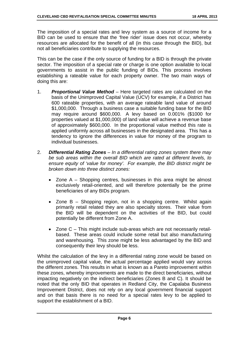The imposition of a special rates and levy system as a source of income for a BID can be used to ensure that the 'free rider' issue does not occur, whereby resources are allocated for the benefit of all (in this case through the BID), but not all beneficiaries contribute to supplying the resources.

This can be the case if the only source of funding for a BID is through the private sector. The imposition of a special rate or charge is one option available to local governments to assist in the public funding of BIDs. This process involves establishing a rateable value for each property owner. The two main ways of doing this are:

- 1. *Proportional Value Method* Here targeted rates are calculated on the basis of the Unimproved Capital Value (UCV) for example, if a District has 600 rateable properties, with an average rateable land value of around \$1,000,000. Through a business case a suitable funding base for the BID may require around \$600,000. A levy based on 0.001% (\$1000 for properties valued at \$1,000,000) of land value will achieve a revenue base of approximately \$600,000. In the proportional value method this rate is applied uniformly across all businesses in the designated area. This has a tendency to ignore the differences in value for money of the program to individual businesses.
- 2. *Differential Rating Zones In a differential rating zones system there may be sub areas within the overall BID which are rated at different levels, to ensure equity of 'value for money'. For example, the BID district might be broken down into three distinct zones:* 
	- Zone A Shopping centres, businesses in this area might be almost exclusively retail-oriented, and will therefore potentially be the prime beneficiaries of any BIDs program.
	- Zone B Shopping region, not in a shopping centre. Whilst again primarily retail related they are also specialty stores. Their value from the BID will be dependent on the activities of the BID, but could potentially be different from Zone A.
	- Zone C This might include sub-areas which are not necessarily retailbased. These areas could include some retail but also manufacturing and warehousing. This zone might be less advantaged by the BID and consequently their levy should be less.

Whilst the calculation of the levy in a differential rating zone would be based on the unimproved capital value, the actual percentage applied would vary across the different zones. This results in what is known as a Pareto improvement within these zones, whereby improvements are made to the direct beneficiaries, without impacting negatively on the indirect beneficiaries (Zones B and C). It should be noted that the only BID that operates in Redland City, the Capalaba Business Improvement District, does not rely on any local government financial support and on that basis there is no need for a special rates levy to be applied to support the establishment of a BID.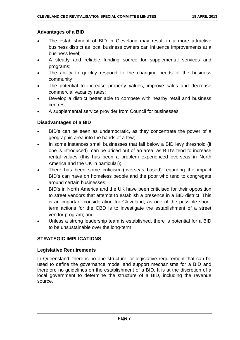#### **Advantages of a BID**

- The establishment of BID in Cleveland may result in a more attractive business district as local business owners can influence improvements at a business level;
- A steady and reliable funding source for supplemental services and programs;
- The ability to quickly respond to the changing needs of the business community
- The potential to increase property values, improve sales and decrease commercial vacancy rates;
- Develop a district better able to compete with nearby retail and business centres;
- A supplemental service provider from Council for businesses.

#### **Disadvantages of a BID**

- BID's can be seen as undemocratic, as they concentrate the power of a geographic area into the hands of a few;
- In some instances small businesses that fall below a BID levy threshold (if one is introduced) can be priced out of an area, as BID's tend to increase rental values (this has been a problem experienced overseas in North America and the UK in particular);
- There has been some criticism (overseas based) regarding the impact BID's can have on homeless people and the poor who tend to congregate around certain businesses;
- BID's in North America and the UK have been criticised for their opposition to street vendors that attempt to establish a presence in a BID district. This is an important consideration for Cleveland, as one of the possible shortterm actions for the CBD is to investigate the establishment of a street vendor program; and
- Unless a strong leadership team is established, there is potential for a BID to be unsustainable over the long-term.

#### **STRATEGIC IMPLICATIONS**

#### **Legislative Requirements**

In Queensland, there is no one structure, or legislative requirement that can be used to define the governance model and support mechanisms for a BID and therefore no guidelines on the establishment of a BID. It is at the discretion of a local government to determine the structure of a BID, including the revenue source.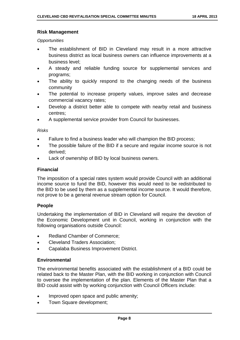#### **Risk Management**

*Opportunities* 

- The establishment of BID in Cleveland may result in a more attractive business district as local business owners can influence improvements at a business level;
- A steady and reliable funding source for supplemental services and programs;
- The ability to quickly respond to the changing needs of the business community
- The potential to increase property values, improve sales and decrease commercial vacancy rates;
- Develop a district better able to compete with nearby retail and business centres;
- A supplemental service provider from Council for businesses.

*Risks* 

- Failure to find a business leader who will champion the BID process;
- The possible failure of the BID if a secure and regular income source is not derived;
- Lack of ownership of BID by local business owners.

#### **Financial**

The imposition of a special rates system would provide Council with an additional income source to fund the BID, however this would need to be redistributed to the BID to be used by them as a supplemental income source. It would therefore, not prove to be a general revenue stream option for Council.

#### **People**

Undertaking the implementation of BID in Cleveland will require the devotion of the Economic Development unit in Council, working in conjunction with the following organisations outside Council:

- Redland Chamber of Commerce;
- Cleveland Traders Association:
- Capalaba Business Improvement District.

#### **Environmental**

The environmental benefits associated with the establishment of a BID could be related back to the Master Plan, with the BID working in conjunction with Council to oversee the implementation of the plan. Elements of the Master Plan that a BID could assist with by working conjunction with Council Officers include:

- Improved open space and public amenity;
- Town Square development;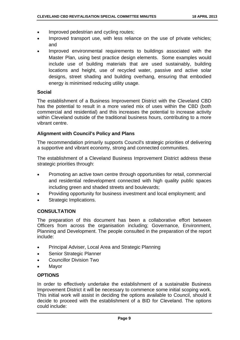- Improved pedestrian and cycling routes;
- Improved transport use, with less reliance on the use of private vehicles; and
- Improved environmental requirements to buildings associated with the Master Plan, using best practice design elements. Some examples would include use of building materials that are used sustainably, building locations and height, use of recycled water, passive and active solar designs, street shading and building overhang, ensuring that embodied energy is minimised reducing utility usage.

#### **Social**

The establishment of a Business Improvement District with the Cleveland CBD has the potential to result in a more varied mix of uses within the CBD (both commercial and residential) and this increases the potential to increase activity within Cleveland outside of the traditional business hours, contributing to a more vibrant centre.

#### **Alignment with Council's Policy and Plans**

The recommendation primarily supports Council's strategic priorities of delivering a supportive and vibrant economy, strong and connected communities.

The establishment of a Cleveland Business Improvement District address these strategic priorities through:

- Promoting an active town centre through opportunities for retail, commercial and residential redevelopment connected with high quality public spaces including green and shaded streets and boulevards;
- Providing opportunity for business investment and local employment; and
- Strategic Implications.

#### **CONSULTATION**

The preparation of this document has been a collaborative effort between Officers from across the organisation including; Governance, Environment, Planning and Development. The people consulted in the preparation of the report include:

- Principal Adviser, Local Area and Strategic Planning
- Senior Strategic Planner
- Councillor Division Two
- Mayor

#### **OPTIONS**

In order to effectively undertake the establishment of a sustainable Business Improvement District it will be necessary to commence some initial scoping work. This initial work will assist in deciding the options available to Council, should it decide to proceed with the establishment of a BID for Cleveland. The options could include: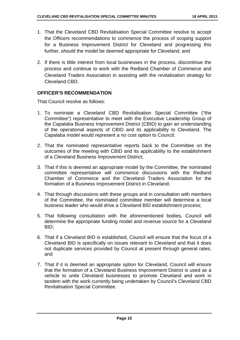- 1. That the Cleveland CBD Revitalisation Special Committee resolve to accept the Officers recommendations to commence the process of scoping support for a Business Improvement District for Cleveland and progressing this further, should the model be deemed appropriate for Cleveland; and
- 2. If there is little interest from local businesses in the process, discontinue the process and continue to work with the Redland Chamber of Commerce and Cleveland Traders Association in assisting with the revitalisation strategy for Cleveland CBD.

#### **OFFICER'S RECOMMENDATION**

That Council resolve as follows:

- 1. To nominate a Cleveland CBD Revitalisation Special Committee ("the Committee") representative to meet with the Executive Leadership Group of the Capalaba Business Improvement District (CBID) to gain an understanding of the operational aspects of CBID and its applicability to Cleveland. The Capalaba model would represent a no cost option to Council;
- 2. That the nominated representative reports back to the Committee on the outcomes of the meeting with CBID and its applicability to the establishment of a Cleveland Business Improvement District;
- 3. That if this is deemed an appropriate model by the Committee, the nominated committee representative will commence discussions with the Redland Chamber of Commerce and the Cleveland Traders Association for the formation of a Business Improvement District in Cleveland;
- 4. That through discussions with these groups and in consultation with members of the Committee, the nominated committee member will determine a local business leader who would drive a Cleveland BID establishment process;
- 5. That following consultation with the aforementioned bodies, Council will determine the appropriate funding model and revenue source for a Cleveland BID;
- 6. That if a Cleveland BID is established, Council will ensure that the focus of a Cleveland BID is specifically on issues relevant to Cleveland and that it does not duplicate services provided by Council at present through general rates; and
- 7. That if it is deemed an appropriate option for Cleveland, Council will ensure that the formation of a Cleveland Business Improvement District is used as a vehicle to unite Cleveland businesses to promote Cleveland and work in tandem with the work currently being undertaken by Council's Cleveland CBD Revitalisation Special Committee.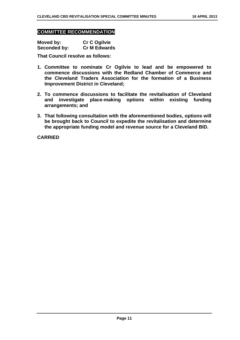#### **COMMITTEE RECOMMENDATION**

| Moved by:           | <b>Cr C Ogilvie</b> |
|---------------------|---------------------|
| <b>Seconded by:</b> | <b>Cr M Edwards</b> |

**That Council resolve as follows:** 

- **1. Committee to nominate Cr Ogilvie to lead and be empowered to commence discussions with the Redland Chamber of Commerce and the Cleveland Traders Association for the formation of a Business Improvement District in Cleveland;**
- **2. To commence discussions to facilitate the revitalisation of Cleveland and investigate place-making options within existing funding arrangements; and**
- **3. That following consultation with the aforementioned bodies, options will be brought back to Council to expedite the revitalisation and determine the appropriate funding model and revenue source for a Cleveland BID.**

**CARRIED**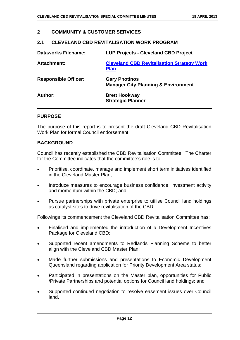#### **2 COMMUNITY & CUSTOMER SERVICES**

#### **2.1 CLEVELAND CBD REVITALISATION WORK PROGRAM**

| <b>Dataworks Filename:</b>  | <b>LUP Projects - Cleveland CBD Project</b>                            |
|-----------------------------|------------------------------------------------------------------------|
| <b>Attachment:</b>          | <b>Cleveland CBD Revitalisation Strategy Work</b><br><b>Plan</b>       |
| <b>Responsible Officer:</b> | <b>Gary Photinos</b><br><b>Manager City Planning &amp; Environment</b> |
| Author:                     | <b>Brett Hookway</b><br><b>Strategic Planner</b>                       |

#### **PURPOSE**

The purpose of this report is to present the draft Cleveland CBD Revitalisation Work Plan for formal Council endorsement.

#### **BACKGROUND**

Council has recently established the CBD Revitalisation Committee. The Charter for the Committee indicates that the committee's role is to:

- Prioritise, coordinate, manage and implement short term initiatives identified in the Cleveland Master Plan;
- Introduce measures to encourage business confidence, investment activity and momentum within the CBD; and
- Pursue partnerships with private enterprise to utilise Council land holdings as catalyst sites to drive revitalisation of the CBD.

Followings its commencement the Cleveland CBD Revitalisation Committee has:

- Finalised and implemented the introduction of a Development Incentives Package for Cleveland CBD;
- Supported recent amendments to Redlands Planning Scheme to better align with the Cleveland CBD Master Plan;
- Made further submissions and presentations to Economic Development Queensland regarding application for Priority Development Area status;
- Participated in presentations on the Master plan, opportunities for Public /Private Partnerships and potential options for Council land holdings; and
- Supported continued negotiation to resolve easement issues over Council land.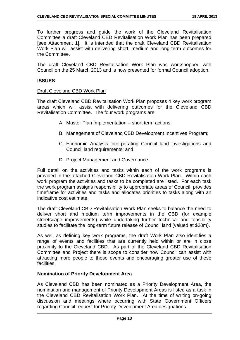To further progress and guide the work of the Cleveland Revitalisation Committee a draft Cleveland CBD Revitalisation Work Plan has been prepared [see Attachment 1]. It is intended that the draft Cleveland CBD Revitalisation Work Plan will assist with delivering short, medium and long term outcomes for the Committee.

The draft Cleveland CBD Revitalisation Work Plan was workshopped with Council on the 25 March 2013 and is now presented for formal Council adoption.

#### **ISSUES**

#### Draft Cleveland CBD Work Plan

The draft Cleveland CBD Revitalisation Work Plan proposes 4 key work program areas which will assist with delivering outcomes for the Cleveland CBD Revitalisation Committee. The four work programs are:

- A. Master Plan Implementation short term actions;
- B. Management of Cleveland CBD Development Incentives Program;
- C. Economic Analysis incorporating Council land investigations and Council land requirements; and
- D. Project Management and Governance.

Full detail on the activities and tasks within each of the work programs is provided in the attached Cleveland CBD Revitalisation Work Plan. Within each work program the activities and tasks to be completed are listed. For each task the work program assigns responsibility to appropriate areas of Council, provides timeframe for activities and tasks and allocates priorities to tasks along with an indicative cost estimate.

The draft Cleveland CBD Revitalisation Work Plan seeks to balance the need to deliver short and medium term improvements in the CBD (for example streetscape improvements) while undertaking further technical and feasibility studies to facilitate the long-term future release of Council land (valued at \$20m).

As well as defining key work programs, the draft Work Plan also identifies a range of events and facilities that are currently held within or are in close proximity to the Cleveland CBD. As part of the Cleveland CBD Revitalisation Committee and Project there is scope to consider how Council can assist with attracting more people to these events and encouraging greater use of these facilities.

#### **Nomination of Priority Development Area**

As Cleveland CBD has been nominated as a Priority Development Area, the nomination and management of Priority Development Areas is listed as a task in the Cleveland CBD Revitalisation Work Plan. At the time of writing on-going discussion and meetings where occurring with State Government Officers regarding Council request for Priority Development Area designations.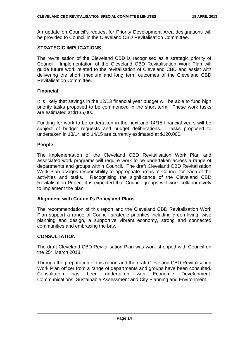An update on Council's request for Priority Development Area designations will be provided to Council in the Cleveland CBD Revitalisation Committee.

#### **STRATEGIC IMPLICATIONS**

The revitalisation of the Cleveland CBD is recognised as a strategic priority of Council. Implementation of the Cleveland CBD Revitalisation Work Plan will guide future work related to the revitalisation of Cleveland CBD and assist with delivering the short, medium and long term outcomes of the Cleveland CBD Revitalisation Committee.

#### **Financial**

It is likely that savings in the 12/13 financial year budget will be able to fund high priority tasks proposed to be commenced in the short term. These work tasks are estimated at \$135,000.

Funding for work to be undertaken in the next and 14/15 financial years will be subject of budget requests and budget deliberations. Tasks proposed to undertaken in 13/14 and 14/15 are currently estimated at \$120,000.

#### **People**

The implementation of the Cleveland CBD Revitalisation Work Plan and associated work programs will require work to be undertaken across a range of departments and groups within Council. The draft Cleveland CBD Revitalisation Work Plan assigns responsibility to appropriate areas of Council for each of the activities and tasks. Recognising the significance of the Cleveland CBD Revitalisation Project it is expected that Council groups will work collaboratively to implement the plan.

#### **Alignment with Council's Policy and Plans**

The recommendation of this report and the Cleveland CBD Revitalisation Work Plan support a range of Council strategic priorities including green living, wise planning and design, a supportive vibrant economy, strong and connected communities and embracing the bay.

#### **CONSULTATION**

The draft Cleveland CBD Revitalisation Plan was work shopped with Council on the  $25<sup>th</sup>$  March 2013.

Through the preparation of this report and the draft Cleveland CBD Revitalisation Work Plan officer from a range of departments and groups have been consulted. Consultation has been undertaken with Economic Development, Communications, Sustainable Assessment and City Planning and Environment.